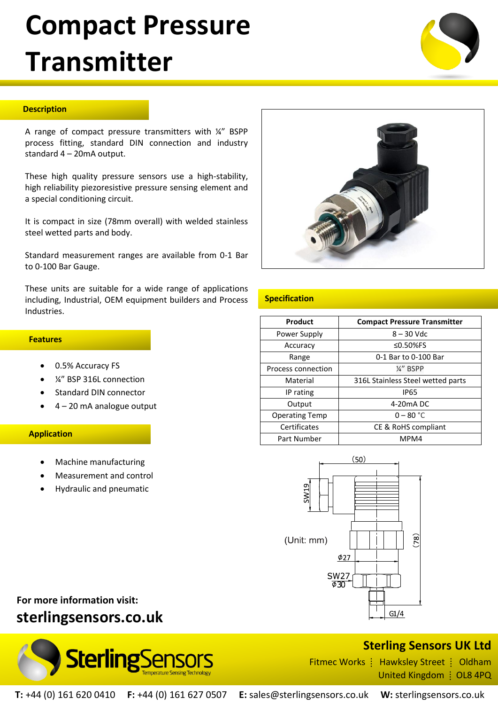# **Compact Pressure Transmitter**



A range of compact pressure transmitters with ¼" BSPP process fitting, standard DIN connection and industry standard 4 – 20mA output.

These high quality pressure sensors use a high-stability, high reliability piezoresistive pressure sensing element and a special conditioning circuit.

It is compact in size (78mm overall) with welded stainless steel wetted parts and body.

Standard measurement ranges are available from 0-1 Bar to 0-100 Bar Gauge.

These units are suitable for a wide range of applications including, Industrial, OEM equipment builders and Process Industries.

### **Specification**

| Product               | <b>Compact Pressure Transmitter</b> |
|-----------------------|-------------------------------------|
| Power Supply          | $8 - 30$ Vdc                        |
| Accuracy              | ≤0.50%FS                            |
| Range                 | 0-1 Bar to 0-100 Bar                |
| Process connection    | 1/4" BSPP                           |
| Material              | 316L Stainless Steel wetted parts   |
| IP rating             | <b>IP65</b>                         |
| Output                | 4-20 <sub>m</sub> A DC              |
| <b>Operating Temp</b> | $0 - 80 °C$                         |
| Certificates          | CE & RoHS compliant                 |
| Part Number           | MPM4                                |



 **Features**

- 0.5% Accuracy FS
- ¼" BSP 316L connection
- Standard DIN connector
- 4 20 mA analogue output

## **Application**

- Machine manufacturing
- Measurement and control
- Hydraulic and pneumatic

# **For more information visit: sterlingsensors.co.uk**



# **Sterling Sensors UK Ltd**

Fitmec Works  $\frac{1}{2}$  Hawksley Street  $\frac{1}{2}$  Oldham United Kingdom | OL8 4PQ